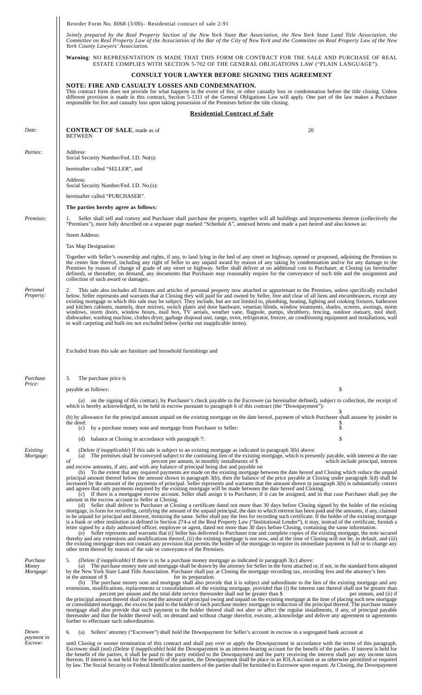|  | Reorder Form No. $8068$ ( $3/00$ ) – Residential contract of sale 2-91 |  |
|--|------------------------------------------------------------------------|--|
|  |                                                                        |  |

*Jointly prepared by the Real Property Section of the New York State Bar Association, the New York State Land Title Association, the Committee on Real Property Law of the Association of the Bar of the City of New York and the Committee on Real Property Law of the New York County Lawyers' Association.*

**Warning**: NO REPRESENTATION IS MADE THAT THIS FORM OR CONTRACT FOR THE SALE AND PURCHASE OF REAL ESTATE COMPLIES WITH SECTION 5-702 OF THE GENERAL OBLIGATIONS LAW ("PLAIN LANGUAGE").

## **CONSULT YOUR LAWYER BEFORE SIGNING THIS AGREEMENT**

**NOTE: FIRE AND CASUALTY LOSSES AND CONDEMNATION.** This contract form does not provide for what happens in the event of fire, or other casualty loss or condemnation before the title closing. Unless different provision is made in this contract, Section 5-1311 of the General Obligations Law will apply. One part of the law makes a Purchaser

|                                | responsible for fire and casualty loss upon taking possession of the Premises before the title closing.                                                                                                                                                                                                                                                                                                                                                                                                                                                                                                                                                                                                                                                                                                                                                                                                                                                                                                                                                                                                                                                                                                                                                                                                                                                                                                  |                                                                                                                                                                                    |
|--------------------------------|----------------------------------------------------------------------------------------------------------------------------------------------------------------------------------------------------------------------------------------------------------------------------------------------------------------------------------------------------------------------------------------------------------------------------------------------------------------------------------------------------------------------------------------------------------------------------------------------------------------------------------------------------------------------------------------------------------------------------------------------------------------------------------------------------------------------------------------------------------------------------------------------------------------------------------------------------------------------------------------------------------------------------------------------------------------------------------------------------------------------------------------------------------------------------------------------------------------------------------------------------------------------------------------------------------------------------------------------------------------------------------------------------------|------------------------------------------------------------------------------------------------------------------------------------------------------------------------------------|
|                                | <b>Residential Contract of Sale</b>                                                                                                                                                                                                                                                                                                                                                                                                                                                                                                                                                                                                                                                                                                                                                                                                                                                                                                                                                                                                                                                                                                                                                                                                                                                                                                                                                                      |                                                                                                                                                                                    |
| Date:                          | <b>CONTRACT OF SALE</b> , made as of<br><b>BETWEEN</b>                                                                                                                                                                                                                                                                                                                                                                                                                                                                                                                                                                                                                                                                                                                                                                                                                                                                                                                                                                                                                                                                                                                                                                                                                                                                                                                                                   | 20                                                                                                                                                                                 |
| Parties:                       | Address:<br>Social Security Number/Fed. I.D. No(s):<br>hereinafter called "SELLER", and                                                                                                                                                                                                                                                                                                                                                                                                                                                                                                                                                                                                                                                                                                                                                                                                                                                                                                                                                                                                                                                                                                                                                                                                                                                                                                                  |                                                                                                                                                                                    |
|                                | Address:<br>Social Security Number/Fed. I.D. No.(s):<br>hereinafter called "PURCHASER".                                                                                                                                                                                                                                                                                                                                                                                                                                                                                                                                                                                                                                                                                                                                                                                                                                                                                                                                                                                                                                                                                                                                                                                                                                                                                                                  |                                                                                                                                                                                    |
|                                | The parties hereby agree as follows:                                                                                                                                                                                                                                                                                                                                                                                                                                                                                                                                                                                                                                                                                                                                                                                                                                                                                                                                                                                                                                                                                                                                                                                                                                                                                                                                                                     |                                                                                                                                                                                    |
| Premises:                      | Seller shall sell and convey and Purchaser shall purchase the property, together will all buildings and improvements thereon (collectively the<br>1.<br>"Premises"), more fully described on a separate page marked "Schedule A", annexed hereto and made a part hereof and also known as:                                                                                                                                                                                                                                                                                                                                                                                                                                                                                                                                                                                                                                                                                                                                                                                                                                                                                                                                                                                                                                                                                                               |                                                                                                                                                                                    |
|                                | <b>Street Address:</b>                                                                                                                                                                                                                                                                                                                                                                                                                                                                                                                                                                                                                                                                                                                                                                                                                                                                                                                                                                                                                                                                                                                                                                                                                                                                                                                                                                                   |                                                                                                                                                                                    |
|                                | Tax Map Designation:                                                                                                                                                                                                                                                                                                                                                                                                                                                                                                                                                                                                                                                                                                                                                                                                                                                                                                                                                                                                                                                                                                                                                                                                                                                                                                                                                                                     |                                                                                                                                                                                    |
|                                | Together with Seller's ownership and rights, if any, to land lying in the bed of any street or highway, opened or proposed, adjoining the Premises to<br>the center line thereof, including any right of Seller to any unpaid award by reason of any taking by condemnation and/or for any damage to the<br>Premises by reason of change of grade of any street or highway. Seller shall deliver at no additional cost to Purchaser, at Closing (as hereinafter<br>defined), or thereafter, on demand, any documents that Purchaser may reasonably require for the conveyance of such title and the assignment and<br>collection of such award or damages.                                                                                                                                                                                                                                                                                                                                                                                                                                                                                                                                                                                                                                                                                                                                               |                                                                                                                                                                                    |
| Personal<br>Property:          | This sale also includes all fixtures and articles of personal property now attached or appurtenant to the Premises, unless specifically excluded<br>2.<br>below. Seller represents and warrants that at Closing they will paid for and owned by Seller, free and clear of all liens and encumbrances, except any<br>existing mortgage to which this sale may be subject. They include, but are not limited to, plumbing, heating, lighting and cooking fixtures, bathroom<br>and kitchen cabinets, mantels, door mirrors, switch plates and door hardware, venetian blinds, window treatments, shades, screens, awnings, storm<br>windows, storm doors, window boxes, mail box, TV aerials, weather vane, flagpole, pumps, shrubbery, fencing, outdoor statuary, tool shed,<br>dishwasher, washing machine, clothes dryer, garbage disposal unit, range, oven, refrigerator, freezer, air conditioning equipment and installations, wall<br>to wall carpeting and built-ins not excluded below (strike out inapplicable items).                                                                                                                                                                                                                                                                                                                                                                          |                                                                                                                                                                                    |
|                                | Excluded from this sale are furniture and household furnishings and                                                                                                                                                                                                                                                                                                                                                                                                                                                                                                                                                                                                                                                                                                                                                                                                                                                                                                                                                                                                                                                                                                                                                                                                                                                                                                                                      |                                                                                                                                                                                    |
| Purchase<br>Price:             | 3.<br>The purchase price is                                                                                                                                                                                                                                                                                                                                                                                                                                                                                                                                                                                                                                                                                                                                                                                                                                                                                                                                                                                                                                                                                                                                                                                                                                                                                                                                                                              |                                                                                                                                                                                    |
|                                | payable as follows:                                                                                                                                                                                                                                                                                                                                                                                                                                                                                                                                                                                                                                                                                                                                                                                                                                                                                                                                                                                                                                                                                                                                                                                                                                                                                                                                                                                      | \$                                                                                                                                                                                 |
|                                | (a) on the signing of this contract, by Purchaser's check payable to the Escrowee (as hereinafter defined), subject to collection, the receipt of<br>which is hereby acknowledged, to be held in escrow pursuant to paragraph 6 of this contract (the "Downpayment"):                                                                                                                                                                                                                                                                                                                                                                                                                                                                                                                                                                                                                                                                                                                                                                                                                                                                                                                                                                                                                                                                                                                                    |                                                                                                                                                                                    |
|                                | (b) by allowance for the principal amount unpaid on the existing mortgage on the date hereof, payment of which Purchaser shall assume by joinder in<br>the deed:<br>by a purchase money note and mortgage from Purchaser to Seller:<br>(c)                                                                                                                                                                                                                                                                                                                                                                                                                                                                                                                                                                                                                                                                                                                                                                                                                                                                                                                                                                                                                                                                                                                                                               | S                                                                                                                                                                                  |
|                                | balance at Closing in accordance with paragraph 7:<br>(d)                                                                                                                                                                                                                                                                                                                                                                                                                                                                                                                                                                                                                                                                                                                                                                                                                                                                                                                                                                                                                                                                                                                                                                                                                                                                                                                                                |                                                                                                                                                                                    |
| Existing<br>Mortgage:          | 4.<br><i>(Delete if inapplicable)</i> If this sale is subject to an existing mortgage as indicated in paragraph 3(b) above:<br>(a)<br>percent per annum, in monthly installments of \$<br>οf<br>and escrow amounts, if any, and with any balance of principal being due and payable on<br>(b) To the extent that any required payments are made on the existing mortgage between the date hereof and Closing which reduce the unpaid<br>principal amount thereof below the amount shown in paragraph 3(b), then the balance of the price payable at Closing under paragraph 3(d) shall be<br>increased by the amount of the payments of principal. Seller represents and warrants that the amount shown in paragraph 3(b) is substantially correct<br>and agrees that only payments required by the existing mortgage will be made between the date hereof and Closing.<br>(c) If there is a mortgagee escrow account, Seller shall assign it to Purchaser, if it can be assigned, and in that case Purchaser shall pay the                                                                                                                                                                                                                                                                                                                                                                              | The premises shall be conveyed subject to the continuing lien of the existing mortgage, which is presently payable, with interest at the rate<br>which include principal, interest |
|                                | amount in the escrow account to Seller at Closing.<br>(d) Seller shall deliver to Purchaser at Closing a certificate dated not more than 30 days before Closing signed by the holder of the existing<br>mortgage, in form for recording, certifying the amount of the unpaid principal, the date to which interest has been paid and the amounts, if any, claimed<br>to be unpaid for principal and interest, itemizing the same. Seller shall pay the fees for recording such certificate. If the holder of the existing mortgage<br>is a bank or other institution as defined in Section 274-a of the Real Property Law ("Institutional Lender"), it may, instead of the certificate, furnish a<br>letter signed by a duly authorized officer, employee or agent, dated not more than 30 days before Closing, containing the same information.<br>(e) Seller represents and warrants that (i) Seller has delivered to Purchaser true and complete copies of the existing mortgage, the note secured<br>thereby and any extensions and modifications thereof, (ii) the existing mortgage is not now, and at the time of Closing will not be, in default, and (iii)<br>the existing mortgage does not contain any provision that permits the holder of the mortgage to require its immediate payment in full or to change any<br>other term thereof by reason of the sale or conveyance of the Premises. |                                                                                                                                                                                    |
| Purchase<br>Money<br>Mortgage: | 5.<br>(Delete if inapplicable) If there is to be a purchase money mortgage as indicated in paragraph 3(c) above:<br>by the New York State Land Title Association. Purchaser shall pay at Closing the mortgage recording tax, recording fees and the attorney's fees<br>in the amount of \$<br>for its preparation.                                                                                                                                                                                                                                                                                                                                                                                                                                                                                                                                                                                                                                                                                                                                                                                                                                                                                                                                                                                                                                                                                       | The purchase money note and mortgage shall be drawn by the attorney for Seller in the form attached or, if not, in the standard form adopted                                       |
|                                | (b) The purchase money note and mortgage shall also provide that it is subject and subordinate to the lien of the existing mortgage and any<br>extensions, modifications, replacements or consolidations of the existing mortgage, provided that (i) the interest rate thereof shall not be greater than<br>percent per annum and the total debt service thereunder shall not be greater than \$<br>the principal amount thereof shall exceed the amount of principal owing and unpaid on the existing mortgage at the time of placing such new mortgage<br>or consolidated mortgage, the excess be paid to the holder of such purchase money mortgage in reduction of the principal thereof. The purchase money<br>mortgage shall also provide that such payment to the holder thereof shall not alter or affect the regular installments, if any, of principal payable<br>thereunder and that the holder thereof will, on demand and without charge therefor, execute, acknowledge and deliver any agreement or agreements<br>further to effectuate such subordination.                                                                                                                                                                                                                                                                                                                                | per annum, and (ii) if                                                                                                                                                             |
| Down-                          | Sellers' attorney ("Escrowee") shall hold the Downpayment for Seller's account in escrow in a segregated bank account at<br>6.<br>(a)                                                                                                                                                                                                                                                                                                                                                                                                                                                                                                                                                                                                                                                                                                                                                                                                                                                                                                                                                                                                                                                                                                                                                                                                                                                                    |                                                                                                                                                                                    |
| payment in<br>Escrow:          | until Closing or sooner termination of this contract and shall pay over or apply the Downpayment in accordance with the terms of this paragraph.                                                                                                                                                                                                                                                                                                                                                                                                                                                                                                                                                                                                                                                                                                                                                                                                                                                                                                                                                                                                                                                                                                                                                                                                                                                         |                                                                                                                                                                                    |

until Closing or sooner termination of this contract and shall pay over or apply the Downpayment in accordance with the terms of this paragraph. Escrowee shall (not) (*Delete if inapplicable*) hold the Downpayment in an interest-bearing account for the benefit of the parties. If interest is held for the benefit of the parties, it shall be paid to the party entitled thereon. If interest is not held for the benefit of the parties, the Downpayment shall be place in an IOLA account or as otherwise permitted or required by law. The Social Security or Federal Identification numbers of the parties shall be furnished to Escrowee upon request. At Closing, the Downpayment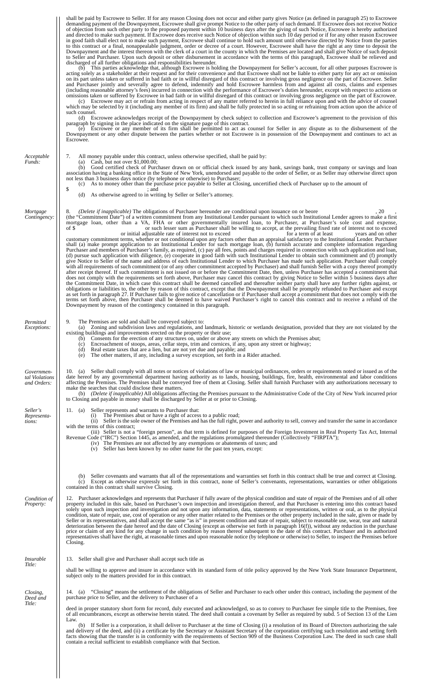|                                             | shall be paid by Escrowee to Seller. If for any reason Closing does not occur and either party gives Notice (as defined in paragraph 25) to Escrowee<br>demanding payment of the Downpayment, Escrowee shall give prompt Notice to the other party of such demand. If Escrowee does not receive Notice<br>of objection from such other party to the proposed payment within 10 business days after the giving of such Notice, Escrowee is hereby authorized<br>and directed to make such payment. If Escrowee does receive such Notice of objection within such 10 day period or if for any other reason Escrowee<br>in good faith shall elect not to make such payment, Escrowee shall continue to hold such amount until otherwise directed by Notice from the parties<br>to this contract or a final, nonappealable judgment, order or decree of a court. However, Escrowee shall have the right at any time to deposit the<br>Downpayment and the interest thereon with the clerk of a court in the county in which the Premises are located and shall give Notice of such deposit<br>to Seller and Purchaser. Upon such deposit or other disbursement in accordance with the terms of this paragraph, Escrowee shall be relieved and<br>discharged of all further obligations and responsibilities hereunder.                                                                                                                                                                                                                                                                                                                                                                                                                                                                                                                                                                                                                                                                                                                                                                                                                                                                                                                                                                                                                                                                                                                                                                                                                                                                        |
|---------------------------------------------|-------------------------------------------------------------------------------------------------------------------------------------------------------------------------------------------------------------------------------------------------------------------------------------------------------------------------------------------------------------------------------------------------------------------------------------------------------------------------------------------------------------------------------------------------------------------------------------------------------------------------------------------------------------------------------------------------------------------------------------------------------------------------------------------------------------------------------------------------------------------------------------------------------------------------------------------------------------------------------------------------------------------------------------------------------------------------------------------------------------------------------------------------------------------------------------------------------------------------------------------------------------------------------------------------------------------------------------------------------------------------------------------------------------------------------------------------------------------------------------------------------------------------------------------------------------------------------------------------------------------------------------------------------------------------------------------------------------------------------------------------------------------------------------------------------------------------------------------------------------------------------------------------------------------------------------------------------------------------------------------------------------------------------------------------------------------------------------------------------------------------------------------------------------------------------------------------------------------------------------------------------------------------------------------------------------------------------------------------------------------------------------------------------------------------------------------------------------------------------------------------------------------------------------------------------------------------------------------|
|                                             | (b) This parties acknowledge that, although Escrowee is holding the Downpayment for Seller's account, for all other purposes Escrowee is<br>acting solely as a stakeholder at their request and for their convenience and that Escrowee shall not be liable to either party for any act or omission<br>on its part unless taken or suffered in bad faith or in willful disregard of this contract or involving gross negligence on the part of Escrowee. Seller<br>and Purchaser jointly and severally agree to defend, indemnify and hold Escrowee harmless from and against all costs, claims and expenses<br>(including reasonable attorney's fees) incurred in connection with the performance of Escrowee's duties hereunder, except with respect to actions or<br>omissions taken or suffered by Escrowee in bad faith or in willful disregard of this contract or involving gross negligence on the part of Escrowee.<br>(c) Escrowee may act or refrain from acting in respect of any matter referred to herein in full reliance upon and with the advice of counsel<br>which may be selected by it (including any member of its firm) and shall be fully protected in so acting or refraining from action upon the advice of<br>such counsel.<br>(d) Escrowee acknowledges receipt of the Downpayment by check subject to collection and Escrowee's agreement to the provision of this                                                                                                                                                                                                                                                                                                                                                                                                                                                                                                                                                                                                                                                                                                                                                                                                                                                                                                                                                                                                                                                                                                                                                                                           |
|                                             | paragraph by signing in the place indicated on the signature page of this contract.<br>(e) Escrowee or any member of its firm shall be permitted to act as counsel for Seller in any dispute as to the disbursement of the<br>Downpayment or any other dispute between the parties whether or not Escrowee is in possession of the Downpayment and continues to act as<br>Escrowee.                                                                                                                                                                                                                                                                                                                                                                                                                                                                                                                                                                                                                                                                                                                                                                                                                                                                                                                                                                                                                                                                                                                                                                                                                                                                                                                                                                                                                                                                                                                                                                                                                                                                                                                                                                                                                                                                                                                                                                                                                                                                                                                                                                                                       |
| Acceptable<br>Funds:                        | All money payable under this contract, unless otherwise specified, shall be paid by:<br>7.<br>Cash, but not over $$1,000.00;$<br>(a)<br>(b) Good certified check of Purchaser drawn on or official check issued by any bank, savings bank, trust company or savings and loan<br>association having a banking office in the State of New York, unendorsed and payable to the order of Seller, or as Seller may otherwise direct upon<br>not less than 3 business days notice (by telephone or otherwise) to Purchaser;<br>As to money other than the purchase price payable to Seller at Closing, uncertified check of Purchaser up to the amount of<br>(c)<br>\$<br>; and<br>(d) As otherwise agreed to in writing by Seller or Seller's attorney.                                                                                                                                                                                                                                                                                                                                                                                                                                                                                                                                                                                                                                                                                                                                                                                                                                                                                                                                                                                                                                                                                                                                                                                                                                                                                                                                                                                                                                                                                                                                                                                                                                                                                                                                                                                                                                        |
| Mortgage<br>Contingency:                    | (Delete if inapplicable) The obligations of Purchaser hereunder are conditional upon issuance on or beore<br>. 20<br>8.<br>(the "Commitment Date") of a written commitment from any Institutional Lender pursuant to which such Institutional Lender agrees to make a first<br>mortgage loan, other than a VA, FHA or other governmentally insured loan, to Purchaser, at Purchaser's sole cost and expense,<br>of \$<br>or such lesser sum as Purchaser shall be willing to accept, at the prevailing fixed rate of interest not to exceed<br>or initial adjustable rate of interest not to exceed<br>for a term of at least<br>years and on other<br>customary commitment terms, whether or not conditional upon any factors other than an appraisal satisfactory to the Institutional Lender. Purchaser<br>shall (a) make prompt application to an Institutional Lender for such mortgage loan, (b) furnish accurate and complete information regarding<br>Purchaser and members of Purchaser's family, as required, (c) pay all fees, points and charges required in connection with such application and loan,<br>(d) pursue such application with diligence, (e) cooperate in good faith with such Institutional Lender to obtain such commitment and (f) promptly<br>give Notice to Seller of the name and address of each Institutional Lender to which Purchaser has made such application. Purchaser shall comply<br>with all requirements of such commitment (or of any other commitment accepted by Purchaser) and shall furnish Seller with a copy thereof promptly<br>after receipt thereof. If such commitment is not issued on or before the Commitment Date, then, unless Purchaser has accepted a commitment that<br>does not comply with the requirements set forth above, Purchaser may cancel this contract by giving Notice to Seller within 5 business days after<br>the Commitment Date, in which case this contract shall be deemed cancelled and thereafter neither party shall have any further rights against, or<br>obligations or liabilities to, the other by reason of this contract, except that the Downpayment shall be promptly refunded to Purchaser and except<br>as set forth in paragraph 27. If Purchaser fails to give notice of cancellation or if Purchaser shall accept a commitment that does not comply with the<br>terms set forth above, then Purchaser shall be deemed to have waived Purchaser's right to cancel this contract and to receive a refund of the<br>Downpayment by reason of the contingency contained in this paragraph. |
| Permitted<br><i>Exceptions:</i>             | 9.<br>The Premises are sold and shall be conveyed subject to:<br>(a) Zoning and subdivision laws and regulations, and landmark, historic or wetlands designation, provided that they are not violated by the<br>existing buildings and improvements erected on the property or their use;<br>Consents for the erection of any structures on, under or above any streets on which the Premises abut;<br>(b)<br>(c) Encroachment of stoops, areas, cellar steps, trim and cornices, if any, upon any street or highway;<br>(d) Real estate taxes that are a lien, but are not yet due and payable; and<br>The other matters, if any, including a survey exception, set forth in a Rider attached.<br>(e)                                                                                                                                                                                                                                                                                                                                                                                                                                                                                                                                                                                                                                                                                                                                                                                                                                                                                                                                                                                                                                                                                                                                                                                                                                                                                                                                                                                                                                                                                                                                                                                                                                                                                                                                                                                                                                                                                    |
| Governmen-<br>tal Violations<br>and Orders: | 10. (a) Seller shall comply with all notes or notices of violations of law or municipal ordinances, orders or requirements noted or issued as of the<br>date hereof by any governmental department having authority as to lands, housing, buildings, fire, health, environmental and labor conditions<br>affecting the Premises. The Premises shall be conveyed free of them at Closing. Seller shall furnish Purchaser with any authorizations necessary to<br>make the searches that could disclose these matters.<br>(b) (Delete if inapplicable) All obligations affecting the Premises pursuant to the Administrative Code of the City of New York incurred prior<br>to Closing and payable in money shall be discharged by Seller at or prior to Closing.                                                                                                                                                                                                                                                                                                                                                                                                                                                                                                                                                                                                                                                                                                                                                                                                                                                                                                                                                                                                                                                                                                                                                                                                                                                                                                                                                                                                                                                                                                                                                                                                                                                                                                                                                                                                                           |
| Seller's<br>Representa-<br>tions:           | Seller represents and warrants to Purchaser that:<br>11. (a)<br>The Premises abut or have a right of access to a public road;<br>(ii) Seller is the sole owner of the Premises and has the full right, power and authority to sell, convey and transfer the same in accordance<br>with the terms of this contract;<br>(iii) Seller is not a "foreign person", as that term is defined for purposes of the Foreign Investment in Real Property Tax Act, Internal<br>Revenue Code ("IRC") Section 1445, as amended, and the regulations promulgated thereunder (Collectively "FIRPTA");<br>(iv) The Premises are not affected by any exemptions or abatements of taxes; and<br>(v) Seller has been known by no other name for the past ten years, except:                                                                                                                                                                                                                                                                                                                                                                                                                                                                                                                                                                                                                                                                                                                                                                                                                                                                                                                                                                                                                                                                                                                                                                                                                                                                                                                                                                                                                                                                                                                                                                                                                                                                                                                                                                                                                                   |
|                                             | Seller covenants and warrants that all of the representations and warranties set forth in this contract shall be true and correct at Closing.<br>(b)<br>(c) Except as otherwise expressly set forth in this contract, none of Seller's convenants, representations, warranties or other obligations<br>contained in this contract shall survive Closing.                                                                                                                                                                                                                                                                                                                                                                                                                                                                                                                                                                                                                                                                                                                                                                                                                                                                                                                                                                                                                                                                                                                                                                                                                                                                                                                                                                                                                                                                                                                                                                                                                                                                                                                                                                                                                                                                                                                                                                                                                                                                                                                                                                                                                                  |
| Condition of<br>Property:                   | 12. Purchaser acknowledges and represents that Purchaser if fully aware of the physical condition and state of repair of the Premises and of all other<br>property included in this sale, based on Purchaser's own inspection and investigation thereof, and that Purchaser is entering into this contract based<br>solely upon such inspection and investigation and not upon any information, data, statements or representations, written or oral, as to the physical<br>condition, state of repair, use, cost of operation or any other matter related to the Premises or the other property included in the sale, given or made by<br>Seller or its representatives, and shall accept the same "as is" in present condition and state of repair, subject to reasonable use, wear, tear and natural<br>deterioration between the date hereof and the date of Closing (except as otherwise set forth in paragraph $16(f)$ ), without any reduction in the purchase<br>price or claim of any kind for any change in such condition by reason thereof subsequent to the date of this contract. Purchaser and its authorized<br>representatives shall have the right, at reasonable times and upon reasonable notice (by telephone or otherwise) to Seller, to inspect the Premises before<br>Closing.                                                                                                                                                                                                                                                                                                                                                                                                                                                                                                                                                                                                                                                                                                                                                                                                                                                                                                                                                                                                                                                                                                                                                                                                                                                                                    |
| <i>Insurable</i><br>Title:                  | 13. Seller shall give and Purchaser shall accept such title as                                                                                                                                                                                                                                                                                                                                                                                                                                                                                                                                                                                                                                                                                                                                                                                                                                                                                                                                                                                                                                                                                                                                                                                                                                                                                                                                                                                                                                                                                                                                                                                                                                                                                                                                                                                                                                                                                                                                                                                                                                                                                                                                                                                                                                                                                                                                                                                                                                                                                                                            |
|                                             | shall be willing to approve and insure in accordance with its standard form of title policy approved by the New York State Insurance Department,<br>subject only to the matters provided for in this contract.                                                                                                                                                                                                                                                                                                                                                                                                                                                                                                                                                                                                                                                                                                                                                                                                                                                                                                                                                                                                                                                                                                                                                                                                                                                                                                                                                                                                                                                                                                                                                                                                                                                                                                                                                                                                                                                                                                                                                                                                                                                                                                                                                                                                                                                                                                                                                                            |
| Closing,<br>Deed and<br>Title:              | 14. (a) "Closing" means the settlement of the obligations of Seller and Purchaser to each other under this contract, including the payment of the<br>purchase price to Seller, and the delivery to Purchaser of a                                                                                                                                                                                                                                                                                                                                                                                                                                                                                                                                                                                                                                                                                                                                                                                                                                                                                                                                                                                                                                                                                                                                                                                                                                                                                                                                                                                                                                                                                                                                                                                                                                                                                                                                                                                                                                                                                                                                                                                                                                                                                                                                                                                                                                                                                                                                                                         |
|                                             | deed in proper statutory short form for record, duly executed and acknowledged, so as to convey to Purchaser fee simple title to the Premises, free<br>of all encumbrances, except as otherwise herein stated. The deed shall contain a covenant by Seller as required by subd. 5 of Section 13 of the Lien<br>Law.                                                                                                                                                                                                                                                                                                                                                                                                                                                                                                                                                                                                                                                                                                                                                                                                                                                                                                                                                                                                                                                                                                                                                                                                                                                                                                                                                                                                                                                                                                                                                                                                                                                                                                                                                                                                                                                                                                                                                                                                                                                                                                                                                                                                                                                                       |
|                                             | (b) If Seller is a corporation, it shall deliver to Purchaser at the time of Closing (i) a resolution of its Board of Directors authorizing the sale<br>and delivery of the deed, and (ii) a certificate by the Secretary or Assistant Secretary of the corporation certifying such resolution and setting forth<br>facts showing that the transfer is in conformity with the requirements of Section 909 of the Business Corporation Law. The deed in such case shall<br>contain a recital sufficient to establish compliance with that Section.                                                                                                                                                                                                                                                                                                                                                                                                                                                                                                                                                                                                                                                                                                                                                                                                                                                                                                                                                                                                                                                                                                                                                                                                                                                                                                                                                                                                                                                                                                                                                                                                                                                                                                                                                                                                                                                                                                                                                                                                                                         |
|                                             |                                                                                                                                                                                                                                                                                                                                                                                                                                                                                                                                                                                                                                                                                                                                                                                                                                                                                                                                                                                                                                                                                                                                                                                                                                                                                                                                                                                                                                                                                                                                                                                                                                                                                                                                                                                                                                                                                                                                                                                                                                                                                                                                                                                                                                                                                                                                                                                                                                                                                                                                                                                           |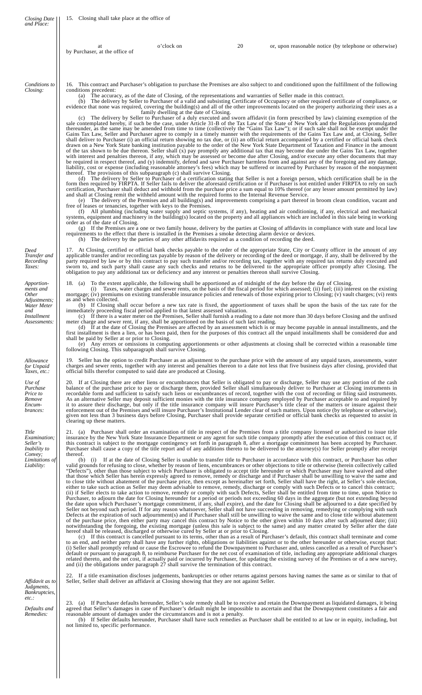| <b>Closing Date</b><br>and Place:                                                                                   | 15. Closing shall take place at the office of                                                                                                                                                                                                                                                                                                                                                                                        |                                                                                                                                                   |    |                                                                                                                                                                                                                                                                                                                                                                                                                                                                                                                                                                                                                                                                                                                                                                                                                                                                                                                                                                                                                                                                                                                                                                                                                                                                                                                                                                                                                                                                                                                                                                                                                                                                                                                                                                                                                                                                                                                                                                                                                                                                                                                                                                                                                                                                                                                                                                                                                                                                                                                                                                                                                                                                                                                                                                                                                                                                                                                                                                                                                                                                                                                                                                                                                                                                                                                                                  |
|---------------------------------------------------------------------------------------------------------------------|--------------------------------------------------------------------------------------------------------------------------------------------------------------------------------------------------------------------------------------------------------------------------------------------------------------------------------------------------------------------------------------------------------------------------------------|---------------------------------------------------------------------------------------------------------------------------------------------------|----|--------------------------------------------------------------------------------------------------------------------------------------------------------------------------------------------------------------------------------------------------------------------------------------------------------------------------------------------------------------------------------------------------------------------------------------------------------------------------------------------------------------------------------------------------------------------------------------------------------------------------------------------------------------------------------------------------------------------------------------------------------------------------------------------------------------------------------------------------------------------------------------------------------------------------------------------------------------------------------------------------------------------------------------------------------------------------------------------------------------------------------------------------------------------------------------------------------------------------------------------------------------------------------------------------------------------------------------------------------------------------------------------------------------------------------------------------------------------------------------------------------------------------------------------------------------------------------------------------------------------------------------------------------------------------------------------------------------------------------------------------------------------------------------------------------------------------------------------------------------------------------------------------------------------------------------------------------------------------------------------------------------------------------------------------------------------------------------------------------------------------------------------------------------------------------------------------------------------------------------------------------------------------------------------------------------------------------------------------------------------------------------------------------------------------------------------------------------------------------------------------------------------------------------------------------------------------------------------------------------------------------------------------------------------------------------------------------------------------------------------------------------------------------------------------------------------------------------------------------------------------------------------------------------------------------------------------------------------------------------------------------------------------------------------------------------------------------------------------------------------------------------------------------------------------------------------------------------------------------------------------------------------------------------------------------------------------------------------------|
|                                                                                                                     | at<br>by Purchaser, at the office of                                                                                                                                                                                                                                                                                                                                                                                                 | o'clock on                                                                                                                                        | 20 | or, upon reasonable notice (by telephone or otherwise)                                                                                                                                                                                                                                                                                                                                                                                                                                                                                                                                                                                                                                                                                                                                                                                                                                                                                                                                                                                                                                                                                                                                                                                                                                                                                                                                                                                                                                                                                                                                                                                                                                                                                                                                                                                                                                                                                                                                                                                                                                                                                                                                                                                                                                                                                                                                                                                                                                                                                                                                                                                                                                                                                                                                                                                                                                                                                                                                                                                                                                                                                                                                                                                                                                                                                           |
| Conditions to<br>Closing:                                                                                           | conditions precedent:<br>thereof. The provisions of this subparagraph (c) shall survive Closing.<br>and shall at Closing remit the withheld amount with the required forms to the Internal Revenue Service.<br>free of leases or tenancies, together with keys to the Premises.<br>order as of the date of Closing.<br>requirements to the effect that there is installed in the Premises a smoke detecting alarm device or devices. | family dwelling at the date of Closing.<br>(h) The delivery by the parties of any other affidavits required as a condition of recording the deed. |    | 16. This contract and Purchaser's obligation to purchase the Premises are also subject to and conditioned upon the fulfillment of the following<br>(a) The accuracy, as of the date of Closing, of the representations and warranties of Seller made in this contract.<br>(b) The delivery by Seller to Purchaser of a valid and subsisting Certificate of Occupancy or other required certificate of compliance, or<br>evidence that none was required, covering the building(s) and all of the other improvements located on the property authorizing their uses as a<br>(c) The delivery by Seller to Purchaser of a duly executed and sworn affidavit (in form prescribed by law) claiming exemption of the<br>sale contemplated hereby, if such be the case, under Article 31-B of the Tax Law of the State of New York and the Regulations promulgated<br>thereunder, as the same may be amended from time to time (collectively the "Gains Tax Law"); or if such sale shall not be exempt under the<br>Gains Tax Law, Seller and Purchaser agree to comply in a timely manner with the requirements of the Gains Tax Law and, at Closing, Seller<br>shall deliver to Purchaser (i) an official return showing no tax due, or (ii) an official return accompanied by a certified or official bank check<br>drawn on a New York State banking institution payable to the order of the New York State Department of Taxation and Finance in the amount<br>of the tax shown to be due thereon. Seller shall (x) pay promptly any additional tax that may become due under the Gains Tax Law, together<br>with interest and penalties thereon, if any, which may be assessed or become due after Closing, and/or execute any other documents that may<br>be required in respect thereof, and (y) indemnify, defend and save Purchaser harmless from and against any of the foregoing and any damage,<br>liability, cost or expense (including reasonable attorney's fees) which may be suffered or incurred by Purchaser by reason of the nonpayment<br>(d) The delivery by Seller to Purchaser of a certification stating that Seller is not a foreign person, which certification shall be in the<br>form then required by FIRPTA. If Seller fails to deliver the aforesaid certification or if Purchaser is not entitled under FIRPTA to rely on such<br>certification, Purchaser shall deduct and withhold from the purchase price a sum equal to 10% thereof (or any lesser amount permitted by law)<br>(e) The delivery of the Premises and all building(s) and improvements comprising a part thereof in broom clean condition, vacant and<br>(f) All plumbing (including water supply and septic systems, if any), heating and air conditioning, if any, electrical and mechanical<br>systems, equipment and machinery in the building(s) located on the property and all appliances which are included in this sale being in working<br>(g) If the Premises are a one or two family house, delivery by the parties at Closing of affidavits in compliance with state and local law                                                                                                                                                                                                                                                    |
| Deed<br>Transfer and<br>Recording<br>Taxes:                                                                         | obligation to pay any additional tax or deficiency and any interest or penalties thereon shall survive Closing.                                                                                                                                                                                                                                                                                                                      |                                                                                                                                                   |    | 17. At Closing, certified or official bank checks payable to the order of the appropriate State, City or County officer in the amount of any<br>applicable transfer and/or recording tax payable by reason of the delivery or recording of the deed or mortgage, if any, shall be delivered by the<br>party required by law or by this contract to pay such transfer and/or recording tax, together with any required tax returns duly executed and<br>sworn to, and such party shall cause any such checks and returns to be delivered to the appropriate officer promptly after Closing. The                                                                                                                                                                                                                                                                                                                                                                                                                                                                                                                                                                                                                                                                                                                                                                                                                                                                                                                                                                                                                                                                                                                                                                                                                                                                                                                                                                                                                                                                                                                                                                                                                                                                                                                                                                                                                                                                                                                                                                                                                                                                                                                                                                                                                                                                                                                                                                                                                                                                                                                                                                                                                                                                                                                                                   |
| Apportion-<br>ments and<br><i>Other</i><br>Adjustments;<br>Water Meter<br>and<br><i>Installment</i><br>Assessments: | as and when collected.<br>immediately proceeding fiscal period applied to that latest assessed valuation.<br>meter charge and sewer rent, if any, shall be apportioned on the basis of such last reading.<br>shall be paid by Seller at or prior to Closing.<br>following Closing. This subparagraph shall survive Closing.                                                                                                          |                                                                                                                                                   |    | 18. (a) To the extent applicable, the following shall be apportioned as of midnight of the day before the day of Closing.<br>Taxes, water charges and sewer rents, on the basis of the fiscal period for which assessed; (ii) fuel; (iii) interest on the existing<br>mortgage; (iv) premiums on existing transferable insurance policies and renewals of those expiring prior to Closing; (v) vault charges; (vi) rents<br>(b) If Closing shall occur before a new tax rate is fixed, the apportionment of taxes shall be upon the basis of the tax rate for the<br>(c) If there is a water meter on the Premises, Seller shall furnish a reading to a date not more than 30 days before Closing and the unfixed<br>(d) If at the date of Closing the Premises are affected by an assessment which is or may become payable in annual installments, and the<br>first installment is then a lien, or has been paid, then for the purposes of this contract all the unpaid installments shall be considered due and<br>(e) Any errors or omissions in computing apportionments or other adjustments at closing shall be corrected within a reasonable time                                                                                                                                                                                                                                                                                                                                                                                                                                                                                                                                                                                                                                                                                                                                                                                                                                                                                                                                                                                                                                                                                                                                                                                                                                                                                                                                                                                                                                                                                                                                                                                                                                                                                                                                                                                                                                                                                                                                                                                                                                                                                                                                                                                        |
| Allowance<br>for Unpaid<br>Taxes, etc.:                                                                             | official bills therefor computed to said date are produced at Closing.                                                                                                                                                                                                                                                                                                                                                               |                                                                                                                                                   |    | 19. Seller has the option to credit Purchaser as an adjustment to the purchase price with the amount of any unpaid taxes, assessments, water<br>charges and sewer rents, together with any interest and penalties thereon to a date not less that five business days after closing, provided that                                                                                                                                                                                                                                                                                                                                                                                                                                                                                                                                                                                                                                                                                                                                                                                                                                                                                                                                                                                                                                                                                                                                                                                                                                                                                                                                                                                                                                                                                                                                                                                                                                                                                                                                                                                                                                                                                                                                                                                                                                                                                                                                                                                                                                                                                                                                                                                                                                                                                                                                                                                                                                                                                                                                                                                                                                                                                                                                                                                                                                                |
| Use of<br>Purchase<br>Price to<br>Remove<br>Encum-<br>brances:                                                      | clearing up these matters.                                                                                                                                                                                                                                                                                                                                                                                                           |                                                                                                                                                   |    | 20. If at Closing there are other liens or encumbrances that Seller is obligated to pay or discharge, Seller may use any portion of the cash<br>balance of the purchase price to pay or discharge them, provided Seller shall simultaneously deliver to Purchaser at Closing instruments in<br>recordable form and sufficient to satisfy such liens or encumbrances of record, together with the cost of recording or filing said instruments.<br>As an alternative Seller may deposit sufficient monies with the title insurance company employed by Purchaser acceptable to and required by<br>it to assure their discharge, but only if the title insurance company will insure Purchaser's title clear of the matters or insure against their<br>enforcement out of the Premises and will insure Purchaser's Institutional Lender clear of such matters. Upon notice (by telephone or otherwise),<br>given not less than 3 business days before Closing, Purchaser shall provide separate certified or official bank checks as requested to assist in                                                                                                                                                                                                                                                                                                                                                                                                                                                                                                                                                                                                                                                                                                                                                                                                                                                                                                                                                                                                                                                                                                                                                                                                                                                                                                                                                                                                                                                                                                                                                                                                                                                                                                                                                                                                                                                                                                                                                                                                                                                                                                                                                                                                                                                                                        |
| Title<br>Examination:<br>Seller's<br>Inability to<br>Convey;<br>Limitations of<br>Liability:                        | thereof.<br>hereof shall be released, discharged or otherwise cured by Seller at or prior to Closing.<br>and (ii) the obligations under paragraph 27 shall survive the termination of this contract.                                                                                                                                                                                                                                 |                                                                                                                                                   |    | 21. (a) Purchaser shall order an examination of title in respect of the Premises from a title company licensed or authorized to issue title<br>insurance by the New York State Insurance Department or any agent for such title company promptly after the execution of this contract or, if<br>this contract is subject to the mortgage contingency set forth in paragraph 8, after a mortgage commitment has been accepted by Purchaser.<br>Purchaser shall cause a copy of the title report and of any additions thereto to be delivered to the attorney(s) for Seller promptly after receipt<br>(b) (i) If at the date of Closing Seller is unable to transfer title to Purchaser in accordance with this contract, or Purchaser has other<br>valid grounds for refusing to close, whether by reason of liens, encumbrances or other objections to title or otherwise (herein collectively called<br>"Defects"), other than those subject to which Purchaser is obligated to accept title hereunder or which Purchaser may have waived and other<br>that those which Seller has herein expressly agreed to remove, remedy or discharge and if Purchaser shall be unwilling to waive the same and<br>to close title without abatement of the purchase price, then except as hereinafter set forth, Seller shall have the right, at Seller's sole election,<br>either to take such action as Seller may deem advisable to remove, remedy, discharge or comply with such Defects or to cancel this contract;<br>(ii) if Seller elects to take action to remove, remedy or comply with such Defects, Seller shall be entitled from time to time, upon Notice to<br>Purchaser, to adjourn the date for Closing hereunder for a period or periods not exceeding 60 days in the aggregate (but not extending beyond<br>the date upon which Purchaser's mortgage commitment, if any, shall expire), and the date for Closing shall be adjourned to a date specified by<br>Seller not beyond such period. If for any reason whatsoever, Seller shall not have succeeding in removing, remedying or complying with such<br>Defects at the expiration of such adjournment(s) and if Purchaser shall still be unwilling to waive the same and to close title without abatement<br>of the purchase price, then either party may cancel this contract by Notice to the other given within 10 days after such adjourned date; (iii)<br>notwithstanding the foregoing, the existing mortgage (unless this sale is subject to the same) and any matter created by Seller after the date<br>(c) If this contract is cancelled pursuant to its terms, other than as a result of Purchaser's default, this contract shall terminate and come<br>to an end, and neither party shall have any further rights, obligations or liabilities against or to the other hereunder or otherwise, except that:<br>(i) Seller shall promptly refund or cause the Escrowee to refund the Downpayment to Purchaser and, unless cancelled as a result of Purchaser's<br>default or pursuant to paragraph 8, to reimburse Purchaser for the net cost of examination of title, including any appropriate additional charges<br>related thereto, and the net cost, if actually paid or incurred by Purchaser, for updating the existing survey of the Premises or of a new survey, |
| Affidavit as to<br>Judgments,<br>Bankruptcies,<br>$etc.$ :                                                          | Seller, Seller shall deliver an affidavit at Closing showing that they are not against Seller.                                                                                                                                                                                                                                                                                                                                       |                                                                                                                                                   |    | 22. If a title examination discloses judgements, bankruptcies or other returns against persons having names the same as or similar to that of                                                                                                                                                                                                                                                                                                                                                                                                                                                                                                                                                                                                                                                                                                                                                                                                                                                                                                                                                                                                                                                                                                                                                                                                                                                                                                                                                                                                                                                                                                                                                                                                                                                                                                                                                                                                                                                                                                                                                                                                                                                                                                                                                                                                                                                                                                                                                                                                                                                                                                                                                                                                                                                                                                                                                                                                                                                                                                                                                                                                                                                                                                                                                                                                    |
| Defaults and<br>Remedies:                                                                                           | reasonable amount of damages under the circumstances and is not a penalty.<br>not limited to, specific performance.                                                                                                                                                                                                                                                                                                                  |                                                                                                                                                   |    | 23. (a) If Purchaser defaults hereunder, Seller's sole remedy shall be to receive and retain the Downpayment as liquidated damages, it being<br>agreed that Seller's damages in case of Purchaser's default might be impossible to ascertain and that the Downpayment constitutes a fair and<br>(b) If Seller defaults hereunder, Purchaser shall have such remedies as Purchaser shall be entitled to at law or in equity, including, but                                                                                                                                                                                                                                                                                                                                                                                                                                                                                                                                                                                                                                                                                                                                                                                                                                                                                                                                                                                                                                                                                                                                                                                                                                                                                                                                                                                                                                                                                                                                                                                                                                                                                                                                                                                                                                                                                                                                                                                                                                                                                                                                                                                                                                                                                                                                                                                                                                                                                                                                                                                                                                                                                                                                                                                                                                                                                                       |